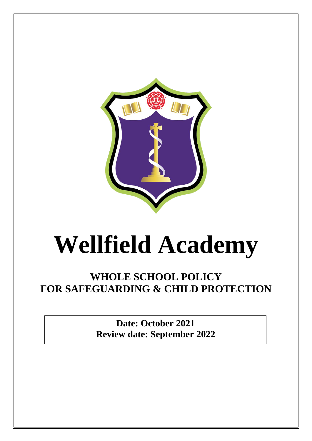

## **Wellfield Academy**

## **WHOLE SCHOOL POLICY FOR SAFEGUARDING & CHILD PROTECTION**

**Date: October 2021 Review date: September 2022**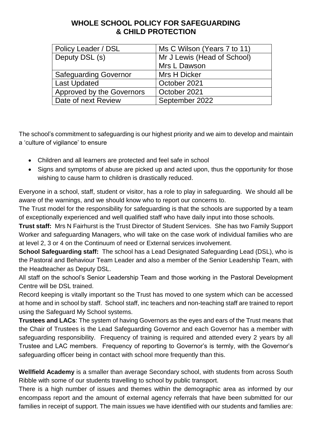## **WHOLE SCHOOL POLICY FOR SAFEGUARDING & CHILD PROTECTION**

| Policy Leader / DSL          | Ms C Wilson (Years 7 to 11) |
|------------------------------|-----------------------------|
| Deputy DSL (s)               | Mr J Lewis (Head of School) |
|                              | Mrs L Dawson                |
| <b>Safeguarding Governor</b> | Mrs H Dicker                |
| <b>Last Updated</b>          | October 2021                |
| Approved by the Governors    | October 2021                |
| Date of next Review          | September 2022              |

The school's commitment to safeguarding is our highest priority and we aim to develop and maintain a 'culture of vigilance' to ensure

- Children and all learners are protected and feel safe in school
- Signs and symptoms of abuse are picked up and acted upon, thus the opportunity for those wishing to cause harm to children is drastically reduced.

Everyone in a school, staff, student or visitor, has a role to play in safeguarding. We should all be aware of the warnings, and we should know who to report our concerns to.

The Trust model for the responsibility for safeguarding is that the schools are supported by a team of exceptionally experienced and well qualified staff who have daily input into those schools.

**Trust staff:** Mrs N Fairhurst is the Trust Director of Student Services. She has two Family Support Worker and safeguarding Managers, who will take on the case work of individual families who are at level 2, 3 or 4 on the Continuum of need or External services involvement.

**School Safeguarding staff:** The school has a Lead Designated Safeguarding Lead (DSL), who is the Pastoral and Behaviour Team Leader and also a member of the Senior Leadership Team, with the Headteacher as Deputy DSL.

All staff on the school's Senior Leadership Team and those working in the Pastoral Development Centre will be DSL trained.

Record keeping is vitally important so the Trust has moved to one system which can be accessed at home and in school by staff. School staff, inc teachers and non-teaching staff are trained to report using the Safeguard My School systems.

**Trustees and LACs**: The system of having Governors as the eyes and ears of the Trust means that the Chair of Trustees is the Lead Safeguarding Governor and each Governor has a member with safeguarding responsibility. Frequency of training is required and attended every 2 years by all Trustee and LAC members. Frequency of reporting to Governor's is termly, with the Governor's safeguarding officer being in contact with school more frequently than this.

**Wellfield Academy** is a smaller than average Secondary school, with students from across South Ribble with some of our students travelling to school by public transport.

There is a high number of issues and themes within the demographic area as informed by our encompass report and the amount of external agency referrals that have been submitted for our families in receipt of support. The main issues we have identified with our students and families are: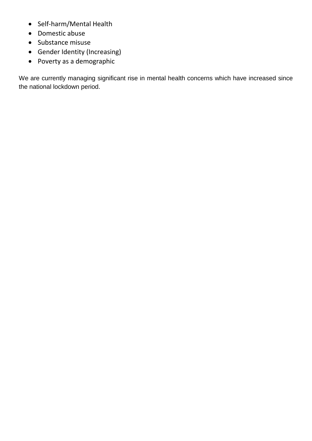- Self-harm/Mental Health
- Domestic abuse
- Substance misuse
- Gender Identity (Increasing)
- Poverty as a demographic

We are currently managing significant rise in mental health concerns which have increased since the national lockdown period.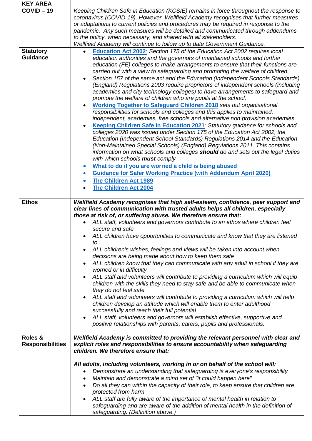| <b>KEY AREA</b>                     |                                                                                                                                                                                                                                                                                                                                                                                                                                                                                                                                                                                                                                                                                                                                                                                                                                                                                                                                                                                                                                                                                                                                                                                                                                                                                                                                                                                                                                                                                                                                                                                                   |
|-------------------------------------|---------------------------------------------------------------------------------------------------------------------------------------------------------------------------------------------------------------------------------------------------------------------------------------------------------------------------------------------------------------------------------------------------------------------------------------------------------------------------------------------------------------------------------------------------------------------------------------------------------------------------------------------------------------------------------------------------------------------------------------------------------------------------------------------------------------------------------------------------------------------------------------------------------------------------------------------------------------------------------------------------------------------------------------------------------------------------------------------------------------------------------------------------------------------------------------------------------------------------------------------------------------------------------------------------------------------------------------------------------------------------------------------------------------------------------------------------------------------------------------------------------------------------------------------------------------------------------------------------|
| $COVID - 19$                        | Keeping Children Safe in Education (KCSIE) remains in force throughout the response to<br>coronavirus (COVID-19). However, Wellfield Academy recognises that further measures<br>or adaptations to current policies and procedures may be required in response to the<br>pandemic. Any such measures will be detailed and communicated through addendums<br>to the policy, when necessary, and shared with all stakeholders.<br>Wellfield Academy will continue to follow up to date Government Guidance.                                                                                                                                                                                                                                                                                                                                                                                                                                                                                                                                                                                                                                                                                                                                                                                                                                                                                                                                                                                                                                                                                         |
| <b>Statutory</b><br><b>Guidance</b> | Education Act 2002: Section 175 of the Education Act 2002 requires local<br>$\bullet$<br>education authorities and the governors of maintained schools and further<br>education (FE) colleges to make arrangements to ensure that their functions are<br>carried out with a view to safeguarding and promoting the welfare of children.<br>Section 157 of the same act and the Education (Independent Schools Standards)<br>$\bullet$<br>(England) Regulations 2003 require proprietors of independent schools (including<br>academies and city technology colleges) to have arrangements to safeguard and<br>promote the welfare of children who are pupils at the school.<br><b>Working Together to Safeguard Children 2018</b> sets out organisational<br>$\bullet$<br>responsibilities for schools and colleges and this applies to maintained,<br>independent, academies, free schools and alternative non provision academies<br>Keeping Children Safe in Education 2021: Statutory guidance for schools and<br>colleges 2020 was issued under Section 175 of the Education Act 2002, the<br>Education (Independent School Standards) Regulations 2014 and the Education<br>(Non-Maintained Special Schools) (England) Regulations 2011. This contains<br>information on what schools and colleges <b>should</b> do and sets out the legal duties<br>with which schools must comply<br>What to do if you are worried a child is being abused<br><b>Guidance for Safer Working Practice (with Addendum April 2020)</b><br>$\bullet$<br><b>The Children Act 1989</b><br>The Children Act 2004 |
| <b>Ethos</b>                        | Wellfield Academy recognises that high self-esteem, confidence, peer support and<br>clear lines of communication with trusted adults helps all children, especially<br>those at risk of, or suffering abuse. We therefore ensure that:<br>ALL staff, volunteers and governors contribute to an ethos where children feel<br>secure and safe<br>ALL children have opportunities to communicate and know that they are listened<br>to<br>ALL children's wishes, feelings and views will be taken into account when<br>$\bullet$<br>decisions are being made about how to keep them safe<br>ALL children know that they can communicate with any adult in school if they are<br>$\bullet$<br>worried or in difficulty<br>ALL staff and volunteers will contribute to providing a curriculum which will equip<br>$\bullet$<br>children with the skills they need to stay safe and be able to communicate when<br>they do not feel safe<br>ALL staff and volunteers will contribute to providing a curriculum which will help<br>$\bullet$<br>children develop an attitude which will enable them to enter adulthood<br>successfully and reach their full potential<br>ALL staff, volunteers and governors will establish effective, supportive and<br>positive relationships with parents, carers, pupils and professionals.                                                                                                                                                                                                                                                                          |
| Roles &<br><b>Responsibilities</b>  | Wellfield Academy is committed to providing the relevant personnel with clear and<br>explicit roles and responsibilities to ensure accountability when safeguarding<br>children. We therefore ensure that:<br>All adults, including volunteers, working in or on behalf of the school will:<br>Demonstrate an understanding that safeguarding is everyone's responsibility<br>٠<br>Maintain and demonstrate a mind set of "it could happen here"<br>$\bullet$<br>Do all they can within the capacity of their role, to keep ensure that children are<br>$\bullet$<br>protected from harm<br>ALL staff are fully aware of the importance of mental health in relation to<br>safeguarding and are aware of the addition of mental health in the definition of<br>safeguarding. (Definition above.)                                                                                                                                                                                                                                                                                                                                                                                                                                                                                                                                                                                                                                                                                                                                                                                                  |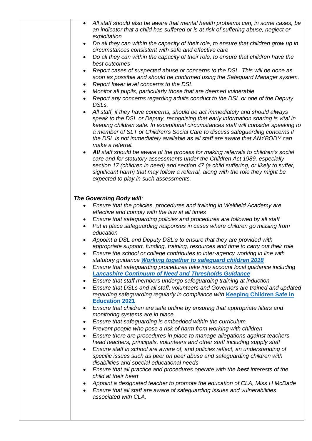| All staff should also be aware that mental health problems can, in some cases, be<br>an indicator that a child has suffered or is at risk of suffering abuse, neglect or<br>exploitation<br>Do all they can within the capacity of their role, to ensure that children grow up in<br>$\bullet$<br>circumstances consistent with safe and effective care<br>Do all they can within the capacity of their role, to ensure that children have the<br>best outcomes<br>Report cases of suspected abuse or concerns to the DSL. This will be done as<br>$\bullet$<br>soon as possible and should be confirmed using the Safeguard Manager system.<br>Report lower level concerns to the DSL<br>$\bullet$<br>Monitor all pupils, particularly those that are deemed vulnerable<br>$\bullet$<br>Report any concerns regarding adults conduct to the DSL or one of the Deputy<br>$\bullet$<br>DSLs.<br>All staff, if they have concerns, should be act immediately and should always<br>$\bullet$<br>speak to the DSL or Deputy, recognising that early information sharing is vital in                                                                                                                                                                                                                                                                                                                                                                                                                                                                                                                                                                                                                                                                                                                                                                                                                                                                                                                                                                                                                                                                                           |
|---------------------------------------------------------------------------------------------------------------------------------------------------------------------------------------------------------------------------------------------------------------------------------------------------------------------------------------------------------------------------------------------------------------------------------------------------------------------------------------------------------------------------------------------------------------------------------------------------------------------------------------------------------------------------------------------------------------------------------------------------------------------------------------------------------------------------------------------------------------------------------------------------------------------------------------------------------------------------------------------------------------------------------------------------------------------------------------------------------------------------------------------------------------------------------------------------------------------------------------------------------------------------------------------------------------------------------------------------------------------------------------------------------------------------------------------------------------------------------------------------------------------------------------------------------------------------------------------------------------------------------------------------------------------------------------------------------------------------------------------------------------------------------------------------------------------------------------------------------------------------------------------------------------------------------------------------------------------------------------------------------------------------------------------------------------------------------------------------------------------------------------------------------------------------|
| keeping children safe. In exceptional circumstances staff will consider speaking to<br>a member of SLT or Children's Social Care to discuss safeguarding concerns if<br>the DSL is not immediately available as all staff are aware that ANYBODY can<br>make a referral.<br>All staff should be aware of the process for making referrals to children's social<br>$\bullet$<br>care and for statutory assessments under the Children Act 1989, especially<br>section 17 (children in need) and section 47 (a child suffering, or likely to suffer,<br>significant harm) that may follow a referral, along with the role they might be<br>expected to play in such assessments.                                                                                                                                                                                                                                                                                                                                                                                                                                                                                                                                                                                                                                                                                                                                                                                                                                                                                                                                                                                                                                                                                                                                                                                                                                                                                                                                                                                                                                                                                            |
| The Governing Body will:<br>Ensure that the policies, procedures and training in Wellfield Academy are<br>$\bullet$<br>effective and comply with the law at all times<br>Ensure that safeguarding policies and procedures are followed by all staff<br>$\bullet$<br>Put in place safeguarding responses in cases where children go missing from<br>$\bullet$<br>education<br>Appoint a DSL and Deputy DSL's to ensure that they are provided with<br>appropriate support, funding, training, resources and time to carry out their role<br>Ensure the school or college contributes to inter-agency working in line with<br>statutory guidance Working together to safeguard children 2018<br>Ensure that safeguarding procedures take into account local guidance including<br>$\bullet$<br><b>Lancashire Continuum of Need and Thresholds Guidance</b><br>Ensure that staff members undergo safeguarding training at induction<br>$\bullet$<br>Ensure that DSLs and all staff, volunteers and Governors are trained and updated<br>$\bullet$<br>regarding safeguarding regularly in compliance with Keeping Children Safe in<br><b>Education 2021</b><br>Ensure that children are safe online by ensuring that appropriate filters and<br>$\bullet$<br>monitoring systems are in place.<br>Ensure that safeguarding is embedded within the curriculum<br>$\bullet$<br>Prevent people who pose a risk of harm from working with children<br>$\bullet$<br>Ensure there are procedures in place to manage allegations against teachers,<br>$\bullet$<br>head teachers, principals, volunteers and other staff including supply staff<br>Ensure staff in school are aware of, and policies reflect, an understanding of<br>$\bullet$<br>specific issues such as peer on peer abuse and safeguarding children with<br>disabilities and special educational needs<br>Ensure that all practice and procedures operate with the best interests of the<br>$\bullet$<br>child at their heart<br>Appoint a designated teacher to promote the education of CLA, Miss H McDade<br>Ensure that all staff are aware of safeguarding issues and vulnerabilities<br>associated with CLA. |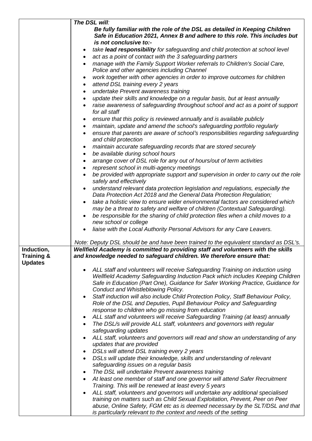|                                         | The DSL will:                                                                                                                                               |
|-----------------------------------------|-------------------------------------------------------------------------------------------------------------------------------------------------------------|
|                                         | Be fully familiar with the role of the DSL as detailed in Keeping Children                                                                                  |
|                                         | Safe in Education 2021, Annex B and adhere to this role. This includes but                                                                                  |
|                                         | is not conclusive to:-                                                                                                                                      |
|                                         | take lead responsibility for safeguarding and child protection at school level<br>٠                                                                         |
|                                         | act as a point of contact with the 3 safeguarding partners<br>$\bullet$                                                                                     |
|                                         | manage with the Family Support Worker referrals to Children's Social Care,<br>$\bullet$<br>Police and other agencies including Channel                      |
|                                         | work together with other agencies in order to improve outcomes for children                                                                                 |
|                                         | attend DSL training every 2 years<br>٠                                                                                                                      |
|                                         | undertake Prevent awareness training<br>$\bullet$                                                                                                           |
|                                         | update their skills and knowledge on a regular basis, but at least annually<br>$\bullet$                                                                    |
|                                         | raise awareness of safeguarding throughout school and act as a point of support                                                                             |
|                                         | for all staff                                                                                                                                               |
|                                         | ensure that this policy is reviewed annually and is available publicly<br>٠                                                                                 |
|                                         | maintain, update and amend the school's safeguarding portfolio regularly<br>٠                                                                               |
|                                         | ensure that parents are aware of school's responsibilities regarding safeguarding<br>$\bullet$<br>and child protection                                      |
|                                         | maintain accurate safeguarding records that are stored securely<br>٠                                                                                        |
|                                         | be available during school hours<br>٠                                                                                                                       |
|                                         | arrange cover of DSL role for any out of hours/out of term activities<br>$\bullet$                                                                          |
|                                         | represent school in multi-agency meetings                                                                                                                   |
|                                         | be provided with appropriate support and supervision in order to carry out the role<br>safely and effectively                                               |
|                                         | understand relevant data protection legislation and regulations, especially the<br>$\bullet$                                                                |
|                                         | Data Protection Act 2018 and the General Data Protection Regulation;                                                                                        |
|                                         | take a holistic view to ensure wider environmental factors are considered which<br>$\bullet$                                                                |
|                                         | may be a threat to safety and welfare of children (Contextual Safeguarding).                                                                                |
|                                         | be responsible for the sharing of child protection files when a child moves to a                                                                            |
|                                         | new school or college                                                                                                                                       |
|                                         | liaise with the Local Authority Personal Advisors for any Care Leavers.<br>$\bullet$                                                                        |
|                                         | Note: Deputy DSL should be and have been trained to the equivalent standard as DSL's.                                                                       |
| Induction,                              | Wellfield Academy is committed to providing staff and volunteers with the skills                                                                            |
| <b>Training &amp;</b><br><b>Updates</b> | and knowledge needed to safeguard children. We therefore ensure that:                                                                                       |
|                                         | ALL staff and volunteers will receive Safeguarding Training on induction using                                                                              |
|                                         | Wellfield Academy Safeguarding Induction Pack which includes Keeping Children                                                                               |
|                                         | Safe in Education (Part One), Guidance for Safer Working Practice, Guidance for                                                                             |
|                                         | Conduct and Whistleblowing Policy.                                                                                                                          |
|                                         | Staff induction will also include Child Protection Policy, Staff Behaviour Policy,<br>Role of the DSL and Deputies, Pupil Behaviour Policy and Safeguarding |
|                                         | response to children who go missing from education                                                                                                          |
|                                         | ALL staff and volunteers will receive Safeguarding Training (at least) annually<br>$\bullet$                                                                |
|                                         | The DSL/s will provide ALL staff, volunteers and governors with regular<br>$\bullet$                                                                        |
|                                         | safeguarding updates                                                                                                                                        |
|                                         | ALL staff, volunteers and governors will read and show an understanding of any                                                                              |
|                                         | updates that are provided                                                                                                                                   |
|                                         | DSLs will attend DSL training every 2 years<br>٠                                                                                                            |
|                                         | DSLs will update their knowledge, skills and understanding of relevant<br>$\bullet$<br>safeguarding issues on a regular basis                               |
|                                         | The DSL will undertake Prevent awareness training                                                                                                           |
|                                         | At least one member of staff and one governor will attend Safer Recruitment<br>$\bullet$                                                                    |
|                                         | Training. This will be renewed at least every 5 years                                                                                                       |
|                                         | ALL staff, volunteers and governors will undertake any additional specialised                                                                               |
|                                         | training on matters such as Child Sexual Exploitation, Prevent, Peer on Peer                                                                                |
|                                         | abuse, Online Safety, FGM etc as is deemed necessary by the SLT/DSL and that                                                                                |
|                                         | is particularly relevant to the context and needs of the setting                                                                                            |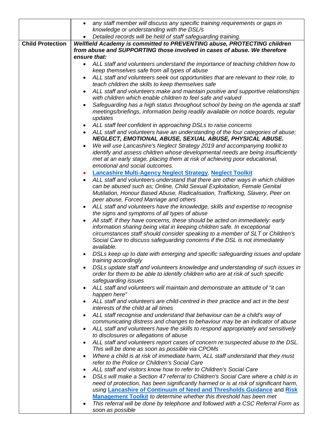|                         | any staff member will discuss any specific training requirements or gaps in<br>$\bullet$                                                                                                                                                                                                                                 |  |
|-------------------------|--------------------------------------------------------------------------------------------------------------------------------------------------------------------------------------------------------------------------------------------------------------------------------------------------------------------------|--|
|                         | knowledge or understanding with the DSL/s                                                                                                                                                                                                                                                                                |  |
|                         | Detailed records will be held of staff safeguarding training.                                                                                                                                                                                                                                                            |  |
| <b>Child Protection</b> | Wellfield Academy is committed to PREVENTING abuse, PROTECTING children                                                                                                                                                                                                                                                  |  |
|                         | from abuse and SUPPORTING those involved in cases of abuse. We therefore                                                                                                                                                                                                                                                 |  |
|                         | ensure that:                                                                                                                                                                                                                                                                                                             |  |
|                         | ALL staff and volunteers understand the importance of teaching children how to<br>$\bullet$                                                                                                                                                                                                                              |  |
|                         | keep themselves safe from all types of abuse                                                                                                                                                                                                                                                                             |  |
|                         | ALL staff and volunteers seek out opportunities that are relevant to their role, to<br>teach children the skills to keep themselves safe                                                                                                                                                                                 |  |
|                         | ALL staff and volunteers make and maintain positive and supportive relationships<br>with children which enable children to feel safe and valued                                                                                                                                                                          |  |
|                         | Safeguarding has a high status throughout school by being on the agenda at staff                                                                                                                                                                                                                                         |  |
|                         | meetings/briefings, information being readily available on notice boards, regular<br>updates                                                                                                                                                                                                                             |  |
|                         | ALL staff feel confident in approaching DSLs to raise concerns                                                                                                                                                                                                                                                           |  |
|                         | ALL staff and volunteers have an understanding of the four categories of abuse;<br>$\bullet$<br>NEGLECT, EMOTIONAL ABUSE, SEXUAL ABUSE, PHYSICAL ABUSE.                                                                                                                                                                  |  |
|                         | We will use Lancashire's Neglect Strategy 2019 and accompanying toolkit to                                                                                                                                                                                                                                               |  |
|                         | identify and assess children whose developmental needs are being insufficiently<br>met at an early stage, placing them at risk of achieving poor educational,                                                                                                                                                            |  |
|                         | emotional and social outcomes.                                                                                                                                                                                                                                                                                           |  |
|                         | <b>Lancashire Multi-Agency Neglect Strategy, Neglect Toolkit</b>                                                                                                                                                                                                                                                         |  |
|                         | ALL staff and volunteers understand that there are other ways in which children<br>can be abused such as; Online, Child Sexual Exploitation, Female Genital<br>Mutilation, Honour Based Abuse, Radicalisation, Trafficking, Slavery, Peer on                                                                             |  |
|                         | peer abuse, Forced Marriage and others                                                                                                                                                                                                                                                                                   |  |
|                         | ALL staff and volunteers have the knowledge, skills and expertise to recognise                                                                                                                                                                                                                                           |  |
|                         | the signs and symptoms of all types of abuse                                                                                                                                                                                                                                                                             |  |
|                         | All staff, if they have concerns, these should be acted on immediately: early<br>information sharing being vital in keeping children safe. In exceptional<br>circumstances staff should consider speaking to a member of SLT or Children's<br>Social Care to discuss safeguarding concerns if the DSL is not immediately |  |
|                         | available.<br>DSLs keep up to date with emerging and specific safeguarding issues and update                                                                                                                                                                                                                             |  |
|                         | training accordingly<br>DSLs update staff and volunteers knowledge and understanding of such issues in                                                                                                                                                                                                                   |  |
|                         | order for them to be able to identify children who are at risk of such specific<br>safeguarding issues                                                                                                                                                                                                                   |  |
|                         | ALL staff and volunteers will maintain and demonstrate an attitude of "it can<br>happen here"                                                                                                                                                                                                                            |  |
|                         | ALL staff and volunteers are child-centred in their practice and act in the best<br>interests of the child at all times                                                                                                                                                                                                  |  |
|                         | ALL staff recognise and understand that behaviour can be a child's way of<br>communicating distress and changes to behaviour may be an indicator of abuse                                                                                                                                                                |  |
|                         | ALL staff and volunteers have the skills to respond appropriately and sensitively<br>$\bullet$<br>to disclosures or allegations of abuse                                                                                                                                                                                 |  |
|                         | ALL staff and volunteers report cases of concern re: suspected abuse to the DSL.                                                                                                                                                                                                                                         |  |
|                         | This will be done as soon as possible via CPOMs                                                                                                                                                                                                                                                                          |  |
|                         | Where a child is at risk of immediate harm, ALL staff understand that they must<br>$\bullet$<br>refer to the Police or Children's Social Care                                                                                                                                                                            |  |
|                         | ALL staff and visitors know how to refer to Children's Social Care                                                                                                                                                                                                                                                       |  |
|                         | DSLs will make a Section 47 referral to Children's Social Care where a child is in<br>need of protection, has been significantly harmed or is at risk of significant harm,<br>using Lancashire of Continuum of Need and Thresholds Guidance and Risk                                                                     |  |
|                         | Management Toolkit to determine whether this threshold has been met                                                                                                                                                                                                                                                      |  |
|                         | This referral will be done by telephone and followed with a CSC Referral Form as<br>soon as possible                                                                                                                                                                                                                     |  |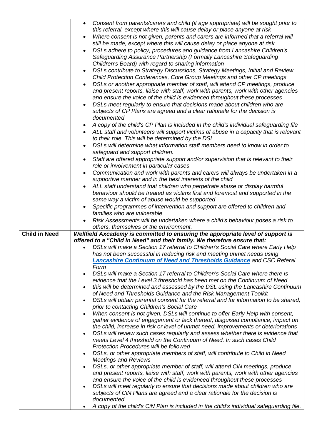|                      | Consent from parents/carers and child (if age appropriate) will be sought prior to<br>$\bullet$<br>this referral, except where this will cause delay or place anyone at risk<br>Where consent is not given, parents and carers are informed that a referral will<br>still be made, except where this will cause delay or place anyone at risk<br>DSLs adhere to policy, procedures and guidance from Lancashire Children's<br>Safeguarding Assurance Partnership (Formally Lancashire Safeguarding<br>Children's Board) with regard to sharing information<br>DSLs contribute to Strategy Discussions, Strategy Meetings, Initial and Review<br>Child Protection Conferences, Core Group Meetings and other CP meetings<br>DSLs or another appropriate member of staff, will attend CP meetings, produce<br>and present reports, liaise with staff, work with parents, work with other agencies<br>and ensure the voice of the child is evidenced throughout these processes<br>DSLs meet regularly to ensure that decisions made about children who are<br>subjects of CP Plans are agreed and a clear rationale for the decision is<br>documented<br>A copy of the child's CP Plan is included in the child's individual safeguarding file<br>ALL staff and volunteers will support victims of abuse in a capacity that is relevant<br>to their role. This will be determined by the DSL<br>DSLs will determine what information staff members need to know in order to<br>safeguard and support children.<br>Staff are offered appropriate support and/or supervision that is relevant to their<br>$\bullet$<br>role or involvement in particular cases |
|----------------------|------------------------------------------------------------------------------------------------------------------------------------------------------------------------------------------------------------------------------------------------------------------------------------------------------------------------------------------------------------------------------------------------------------------------------------------------------------------------------------------------------------------------------------------------------------------------------------------------------------------------------------------------------------------------------------------------------------------------------------------------------------------------------------------------------------------------------------------------------------------------------------------------------------------------------------------------------------------------------------------------------------------------------------------------------------------------------------------------------------------------------------------------------------------------------------------------------------------------------------------------------------------------------------------------------------------------------------------------------------------------------------------------------------------------------------------------------------------------------------------------------------------------------------------------------------------------------------------------------------------------------------------------------------|
|                      | Communication and work with parents and carers will always be undertaken in a<br>$\bullet$                                                                                                                                                                                                                                                                                                                                                                                                                                                                                                                                                                                                                                                                                                                                                                                                                                                                                                                                                                                                                                                                                                                                                                                                                                                                                                                                                                                                                                                                                                                                                                 |
|                      | supportive manner and in the best interests of the child                                                                                                                                                                                                                                                                                                                                                                                                                                                                                                                                                                                                                                                                                                                                                                                                                                                                                                                                                                                                                                                                                                                                                                                                                                                                                                                                                                                                                                                                                                                                                                                                   |
|                      | ALL staff understand that children who perpetrate abuse or display harmful<br>behaviour should be treated as victims first and foremost and supported in the<br>same way a victim of abuse would be supported                                                                                                                                                                                                                                                                                                                                                                                                                                                                                                                                                                                                                                                                                                                                                                                                                                                                                                                                                                                                                                                                                                                                                                                                                                                                                                                                                                                                                                              |
|                      | Specific programmes of intervention and support are offered to children and                                                                                                                                                                                                                                                                                                                                                                                                                                                                                                                                                                                                                                                                                                                                                                                                                                                                                                                                                                                                                                                                                                                                                                                                                                                                                                                                                                                                                                                                                                                                                                                |
|                      | families who are vulnerable<br>Risk Assessments will be undertaken where a child's behaviour poses a risk to                                                                                                                                                                                                                                                                                                                                                                                                                                                                                                                                                                                                                                                                                                                                                                                                                                                                                                                                                                                                                                                                                                                                                                                                                                                                                                                                                                                                                                                                                                                                               |
|                      |                                                                                                                                                                                                                                                                                                                                                                                                                                                                                                                                                                                                                                                                                                                                                                                                                                                                                                                                                                                                                                                                                                                                                                                                                                                                                                                                                                                                                                                                                                                                                                                                                                                            |
|                      | others, themselves or the environment.                                                                                                                                                                                                                                                                                                                                                                                                                                                                                                                                                                                                                                                                                                                                                                                                                                                                                                                                                                                                                                                                                                                                                                                                                                                                                                                                                                                                                                                                                                                                                                                                                     |
| <b>Child in Need</b> | Wellfield Axcademy is committed to ensuring the appropriate level of support is                                                                                                                                                                                                                                                                                                                                                                                                                                                                                                                                                                                                                                                                                                                                                                                                                                                                                                                                                                                                                                                                                                                                                                                                                                                                                                                                                                                                                                                                                                                                                                            |
|                      | offered to a "Child in Need" and their family. We therefore ensure that:                                                                                                                                                                                                                                                                                                                                                                                                                                                                                                                                                                                                                                                                                                                                                                                                                                                                                                                                                                                                                                                                                                                                                                                                                                                                                                                                                                                                                                                                                                                                                                                   |
|                      | DSLs will make a Section 17 referral to Children's Social Care where Early Help<br>has not been successful in reducing risk and meeting unmet needs using<br><b>Lancashire Continuum of Need and Thresholds Guidance and CSC Referal</b>                                                                                                                                                                                                                                                                                                                                                                                                                                                                                                                                                                                                                                                                                                                                                                                                                                                                                                                                                                                                                                                                                                                                                                                                                                                                                                                                                                                                                   |
|                      | Form                                                                                                                                                                                                                                                                                                                                                                                                                                                                                                                                                                                                                                                                                                                                                                                                                                                                                                                                                                                                                                                                                                                                                                                                                                                                                                                                                                                                                                                                                                                                                                                                                                                       |
|                      | DSLs will make a Section 17 referral to Children's Social Care where there is<br>$\bullet$<br>evidence that the Level 3 threshold has been met on the Continuum of Need                                                                                                                                                                                                                                                                                                                                                                                                                                                                                                                                                                                                                                                                                                                                                                                                                                                                                                                                                                                                                                                                                                                                                                                                                                                                                                                                                                                                                                                                                    |
|                      |                                                                                                                                                                                                                                                                                                                                                                                                                                                                                                                                                                                                                                                                                                                                                                                                                                                                                                                                                                                                                                                                                                                                                                                                                                                                                                                                                                                                                                                                                                                                                                                                                                                            |
|                      | of Need and Thresholds Guidance and the Risk Management Toolkit                                                                                                                                                                                                                                                                                                                                                                                                                                                                                                                                                                                                                                                                                                                                                                                                                                                                                                                                                                                                                                                                                                                                                                                                                                                                                                                                                                                                                                                                                                                                                                                            |
|                      | DSLs will obtain parental consent for the referral and for information to be shared,<br>$\bullet$<br>prior to contacting Children's Social Care                                                                                                                                                                                                                                                                                                                                                                                                                                                                                                                                                                                                                                                                                                                                                                                                                                                                                                                                                                                                                                                                                                                                                                                                                                                                                                                                                                                                                                                                                                            |
|                      | When consent is not given, DSLs will continue to offer Early Help with consent,                                                                                                                                                                                                                                                                                                                                                                                                                                                                                                                                                                                                                                                                                                                                                                                                                                                                                                                                                                                                                                                                                                                                                                                                                                                                                                                                                                                                                                                                                                                                                                            |
|                      | gather evidence of engagement or lack thereof, disguised compliance, impact on                                                                                                                                                                                                                                                                                                                                                                                                                                                                                                                                                                                                                                                                                                                                                                                                                                                                                                                                                                                                                                                                                                                                                                                                                                                                                                                                                                                                                                                                                                                                                                             |
|                      | the child, increase in risk or level of unmet need, improvements or deteriorations<br>DSLs will review such cases regularly and assess whether there is evidence that<br>$\bullet$                                                                                                                                                                                                                                                                                                                                                                                                                                                                                                                                                                                                                                                                                                                                                                                                                                                                                                                                                                                                                                                                                                                                                                                                                                                                                                                                                                                                                                                                         |
|                      | meets Level 4 threshold on the Continuum of Need. In such cases Child                                                                                                                                                                                                                                                                                                                                                                                                                                                                                                                                                                                                                                                                                                                                                                                                                                                                                                                                                                                                                                                                                                                                                                                                                                                                                                                                                                                                                                                                                                                                                                                      |
|                      | <b>Protection Procedures will be followed</b><br>DSLs, or other appropriate members of staff, will contribute to Child in Need                                                                                                                                                                                                                                                                                                                                                                                                                                                                                                                                                                                                                                                                                                                                                                                                                                                                                                                                                                                                                                                                                                                                                                                                                                                                                                                                                                                                                                                                                                                             |
|                      | <b>Meetings and Reviews</b>                                                                                                                                                                                                                                                                                                                                                                                                                                                                                                                                                                                                                                                                                                                                                                                                                                                                                                                                                                                                                                                                                                                                                                                                                                                                                                                                                                                                                                                                                                                                                                                                                                |
|                      | DSLs, or other appropriate member of staff, will attend CiN meetings, produce<br>and present reports, liaise with staff, work with parents, work with other agencies                                                                                                                                                                                                                                                                                                                                                                                                                                                                                                                                                                                                                                                                                                                                                                                                                                                                                                                                                                                                                                                                                                                                                                                                                                                                                                                                                                                                                                                                                       |
|                      | and ensure the voice of the child is evidenced throughout these processes<br>DSLs will meet regularly to ensure that decisions made about children who are                                                                                                                                                                                                                                                                                                                                                                                                                                                                                                                                                                                                                                                                                                                                                                                                                                                                                                                                                                                                                                                                                                                                                                                                                                                                                                                                                                                                                                                                                                 |
|                      | subjects of CiN Plans are agreed and a clear rationale for the decision is                                                                                                                                                                                                                                                                                                                                                                                                                                                                                                                                                                                                                                                                                                                                                                                                                                                                                                                                                                                                                                                                                                                                                                                                                                                                                                                                                                                                                                                                                                                                                                                 |
|                      | this will be determined and assessed by the DSL using the Lancashire Continuum<br>documented<br>A copy of the child's CiN Plan is included in the child's individual safeguarding file.                                                                                                                                                                                                                                                                                                                                                                                                                                                                                                                                                                                                                                                                                                                                                                                                                                                                                                                                                                                                                                                                                                                                                                                                                                                                                                                                                                                                                                                                    |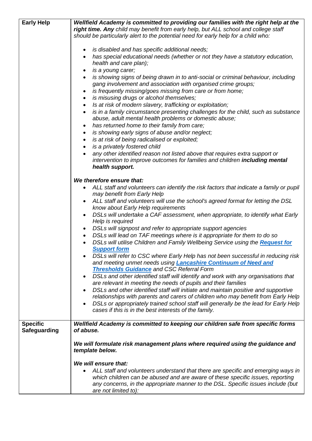| <b>Early Help</b>                      | Wellfield Academy is committed to providing our families with the right help at the                                                                  |
|----------------------------------------|------------------------------------------------------------------------------------------------------------------------------------------------------|
|                                        | right time. Any child may benefit from early help, but ALL school and college staff                                                                  |
|                                        | should be particularly alert to the potential need for early help for a child who:                                                                   |
|                                        | is disabled and has specific additional needs;<br>٠                                                                                                  |
|                                        | has special educational needs (whether or not they have a statutory education,<br>$\bullet$                                                          |
|                                        | health and care plan);                                                                                                                               |
|                                        | is a young carer;<br>٠                                                                                                                               |
|                                        | is showing signs of being drawn in to anti-social or criminal behaviour, including<br>$\bullet$                                                      |
|                                        | gang involvement and association with organised crime groups;                                                                                        |
|                                        | is frequently missing/goes missing from care or from home;<br>$\bullet$                                                                              |
|                                        | is misusing drugs or alcohol themselves;<br>$\bullet$<br>Is at risk of modern slavery, trafficking or exploitation;<br>$\bullet$                     |
|                                        | is in a family circumstance presenting challenges for the child, such as substance<br>$\bullet$                                                      |
|                                        | abuse, adult mental health problems or domestic abuse;                                                                                               |
|                                        | has returned home to their family from care;<br>$\bullet$                                                                                            |
|                                        | is showing early signs of abuse and/or neglect;<br>٠                                                                                                 |
|                                        | is at risk of being radicalised or exploited;<br>$\bullet$                                                                                           |
|                                        | is a privately fostered child<br>$\bullet$                                                                                                           |
|                                        | any other identified reason not listed above that requires extra support or                                                                          |
|                                        | intervention to improve outcomes for families and children including mental                                                                          |
|                                        | health support.                                                                                                                                      |
|                                        | We therefore ensure that:                                                                                                                            |
|                                        | ALL staff and volunteers can identify the risk factors that indicate a family or pupil                                                               |
|                                        | may benefit from Early Help                                                                                                                          |
|                                        | ALL staff and volunteers will use the school's agreed format for letting the DSL                                                                     |
|                                        | know about Early Help requirements                                                                                                                   |
|                                        | DSLs will undertake a CAF assessment, when appropriate, to identify what Early<br>$\bullet$                                                          |
|                                        | Help is required<br>• DSLs will signpost and refer to appropriate support agencies                                                                   |
|                                        | DSLs will lead on TAF meetings where is it appropriate for them to do so<br>$\bullet$                                                                |
|                                        | DSLs will utilise Children and Family Wellbeing Service using the Request for                                                                        |
|                                        | <b>Support form</b>                                                                                                                                  |
|                                        | DSLs will refer to CSC where Early Help has not been successful in reducing risk                                                                     |
|                                        | and meeting unmet needs using <b>Lancashire Continuum of Need and</b>                                                                                |
|                                        | <b>Thresholds Guidance and CSC Referral Form</b>                                                                                                     |
|                                        | DSLs and other identified staff will identify and work with any organisations that<br>are relevant in meeting the needs of pupils and their families |
|                                        | DSLs and other identified staff will initiate and maintain positive and supportive                                                                   |
|                                        | relationships with parents and carers of children who may benefit from Early Help                                                                    |
|                                        | DSLs or appropriately trained school staff will generally be the lead for Early Help                                                                 |
|                                        | cases if this is in the best interests of the family.                                                                                                |
|                                        |                                                                                                                                                      |
| <b>Specific</b><br><b>Safeguarding</b> | Wellfield Academy is committed to keeping our children safe from specific forms<br>of abuse.                                                         |
|                                        |                                                                                                                                                      |
|                                        | We will formulate risk management plans where required using the guidance and                                                                        |
|                                        | template below.                                                                                                                                      |
|                                        | We will ensure that:                                                                                                                                 |
|                                        | ALL staff and volunteers understand that there are specific and emerging ways in                                                                     |
|                                        | which children can be abused and are aware of these specific issues, reporting                                                                       |
|                                        | any concerns, in the appropriate manner to the DSL. Specific issues include (but                                                                     |
|                                        | are not limited to):                                                                                                                                 |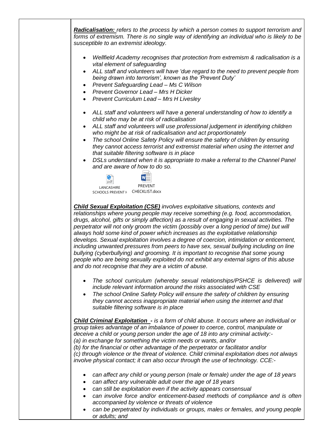*Radicalisation: refers to the process by which a person comes to support terrorism and forms of extremism. There is no single way of identifying an individual who is likely to be susceptible to an extremist ideology.*

- *Wellfield Academy recognises that protection from extremism & radicalisation is a vital element of safeguarding*
- *ALL staff and volunteers will have 'due regard to the need to prevent people from being drawn into terrorism', known as the 'Prevent Duty'*
- *Prevent Safeguarding Lead – Ms C Wilson*
- *Prevent Governor Lead – Mrs H Dicker*
- *Prevent Curriculum Lead – Mrs H Livesley*
- *ALL staff and volunteers will have a general understanding of how to identify a child who may be at risk of radicalisation*
- *ALL staff and volunteers will use professional judgement in identifying children who might be at risk of radicalisation and act proportionately*
- *The school [Online Safety Policy](http://www.lancsngfl.ac.uk/onlinesafety/index.php?category_id=13) will ensure the safety of children by ensuring they cannot access terrorist and extremist material when using the internet and that suitable filtering software is in place*
- *DSLs understand when it is appropriate to make a referral to the Channel Panel and are aware of how to do so.*



*Child Sexual Exploitation (CSE) involves exploitative situations, contexts and relationships where young people may receive something (e.g. food, accommodation, drugs, alcohol, gifts or simply affection) as a result of engaging in sexual activities. The perpetrator will not only groom the victim (possibly over a long period of time) but will always hold some kind of power which increases as the exploitative relationship develops. Sexual exploitation involves a degree of coercion, intimidation or enticement, including unwanted pressures from peers to have sex, sexual bullying including on line bullying (cyberbullying) and grooming. It is important to recognise that some young people who are being sexually exploited do not exhibit any external signs of this abuse and do not recognise that they are a victim of abuse.*

- *The school curriculum (whereby sexual relationships/PSHCE is delivered) will include relevant information around the risks associated with CSE*
- *The school [Online Safety Policy](http://www.lancsngfl.ac.uk/onlinesafety/index.php?category_id=13) will ensure the safety of children by ensuring they cannot access inappropriate material when using the internet and that suitable filtering software is in place*

*Child Criminal Exploitation - is a form of child abuse. It occurs where an individual or group takes advantage of an imbalance of power to coerce, control, manipulate or deceive a child or young person under the age of 18 into any criminal activity:- (a) in exchange for something the victim needs or wants, and/or (b) for the financial or other advantage of the perpetrator or facilitator and/or (c) through violence or the threat of violence. Child criminal exploitation does not always involve physical contact; it can also occur through the use of technology. CCE:-*

- *can affect any child or young person (male or female) under the age of 18 years*
- *can affect any vulnerable adult over the age of 18 years*
- *can still be exploitation even if the activity appears consensual*
- *can involve force and/or enticement-based methods of compliance and is often accompanied by violence or threats of violence*
- *can be perpetrated by individuals or groups, males or females, and young people or adults; and*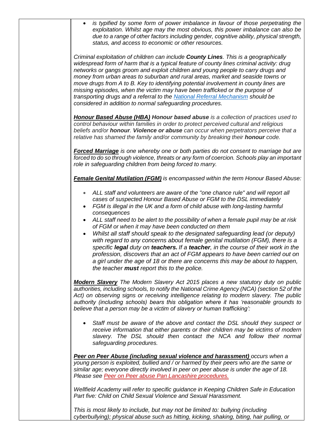| $\bullet$              | is typified by some form of power imbalance in favour of those perpetrating the<br>exploitation. Whilst age may the most obvious, this power imbalance can also be<br>due to a range of other factors including gender, cognitive ability, physical strength,<br>status, and access to economic or other resources.                                                                                                                                                                                                                                                                                                                                                                     |
|------------------------|-----------------------------------------------------------------------------------------------------------------------------------------------------------------------------------------------------------------------------------------------------------------------------------------------------------------------------------------------------------------------------------------------------------------------------------------------------------------------------------------------------------------------------------------------------------------------------------------------------------------------------------------------------------------------------------------|
|                        | Criminal exploitation of children can include <b>County Lines</b> . This is a geographically<br>widespread form of harm that is a typical feature of county lines criminal activity: drug<br>networks or gangs groom and exploit children and young people to carry drugs and<br>money from urban areas to suburban and rural areas, market and seaside towns or<br>move drugs from A to B. Key to identifying potential involvement in county lines are<br>missing episodes, when the victim may have been trafficked or the purpose of<br>transporting drugs and a referral to the National Referral Mechanism should be<br>considered in addition to normal safeguarding procedures. |
|                        | <b>Honour Based Abuse (HBA) Honour based abuse</b> is a collection of practices used to<br>control behaviour within families in order to protect perceived cultural and religious<br>beliefs and/or honour. Violence or abuse can occur when perpetrators perceive that a<br>relative has shamed the family and/or community by breaking their honour code.                                                                                                                                                                                                                                                                                                                             |
|                        | <b>Forced Marriage</b> is one whereby one or both parties do not consent to marriage but are<br>forced to do so through violence, threats or any form of coercion. Schools play an important<br>role in safeguarding children from being forced to marry.                                                                                                                                                                                                                                                                                                                                                                                                                               |
|                        | <b>Female Genital Mutilation (FGM)</b> is encompassed within the term Honour Based Abuse:                                                                                                                                                                                                                                                                                                                                                                                                                                                                                                                                                                                               |
| $\bullet$              | ALL staff and volunteers are aware of the "one chance rule" and will report all<br>cases of suspected Honour Based Abuse or FGM to the DSL immediately<br>FGM is illegal in the UK and a form of child abuse with long-lasting harmful<br>consequences                                                                                                                                                                                                                                                                                                                                                                                                                                  |
| $\bullet$<br>$\bullet$ | ALL staff need to be alert to the possibility of when a female pupil may be at risk<br>of FGM or when it may have been conducted on them<br>Whilst all staff should speak to the designated safeguarding lead (or deputy)<br>with regard to any concerns about female genital mutilation (FGM), there is a<br>specific legal duty on teachers. If a teacher, in the course of their work in the<br>profession, discovers that an act of FGM appears to have been carried out on<br>a girl under the age of 18 or there are concerns this may be about to happen,<br>the teacher must report this to the police.                                                                         |
|                        | Modern Slavery The Modern Slavery Act 2015 places a new statutory duty on public<br>authorities, including schools, to notify the National Crime Agency (NCA) (section 52 of the<br>Act) on observing signs or receiving intelligence relating to modern slavery. The public<br>authority (including schools) bears this obligation where it has 'reasonable grounds to<br>believe that a person may be a victim of slavery or human trafficking':                                                                                                                                                                                                                                      |
|                        | Staff must be aware of the above and contact the DSL should they suspect or<br>receive information that either parents or their children may be victims of modern<br>slavery. The DSL should then contact the NCA and follow their normal<br>safeguarding procedures.                                                                                                                                                                                                                                                                                                                                                                                                                   |
|                        | Peer on Peer Abuse (including sexual violence and harassment) occurs when a<br>young person is exploited, bullied and / or harmed by their peers who are the same or<br>similar age; everyone directly involved in peer on peer abuse is under the age of 18.<br>Please see Peer on Peer abuse Pan Lancashire procedures.                                                                                                                                                                                                                                                                                                                                                               |
|                        | Wellfield Academy will refer to specific guidance in Keeping Children Safe in Education<br>Part five: Child on Child Sexual Violence and Sexual Harassment.                                                                                                                                                                                                                                                                                                                                                                                                                                                                                                                             |
|                        | This is most likely to include, but may not be limited to: bullying (including                                                                                                                                                                                                                                                                                                                                                                                                                                                                                                                                                                                                          |

*cyberbullying); physical abuse such as hitting, kicking, shaking, biting, hair pulling, or*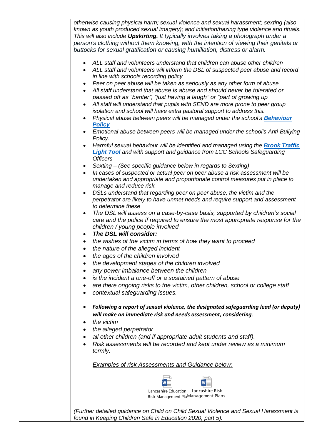| otherwise causing physical harm; sexual violence and sexual harassment; sexting (also<br>known as youth produced sexual imagery); and initiation/hazing type violence and rituals.<br>This will also include <b>Upskirting.</b> It typically involves taking a photograph under a<br>person's clothing without them knowing, with the intention of viewing their genitals or<br>buttocks for sexual gratification or causing humiliation, distress or alarm. |
|--------------------------------------------------------------------------------------------------------------------------------------------------------------------------------------------------------------------------------------------------------------------------------------------------------------------------------------------------------------------------------------------------------------------------------------------------------------|
| ALL staff and volunteers understand that children can abuse other children<br>ALL staff and volunteers will inform the DSL of suspected peer abuse and record<br>in line with schools recording policy                                                                                                                                                                                                                                                       |
| Peer on peer abuse will be taken as seriously as any other form of abuse<br>All staff understand that abuse is abuse and should never be tolerated or                                                                                                                                                                                                                                                                                                        |
| passed off as "banter", "just having a laugh" or "part of growing up<br>All staff will understand that pupils with SEND are more prone to peer group                                                                                                                                                                                                                                                                                                         |
| isolation and school will have extra pastoral support to address this.<br>Physical abuse between peers will be managed under the school's <b>Behaviour</b><br><b>Policy</b>                                                                                                                                                                                                                                                                                  |
| Emotional abuse between peers will be managed under the school's Anti-Bullying<br>Policy.                                                                                                                                                                                                                                                                                                                                                                    |
| Harmful sexual behaviour will be identified and managed using the <b>Brook Traffic</b><br><b>Light Tool</b> and with support and guidance from LCC Schools Safeguarding<br><b>Officers</b>                                                                                                                                                                                                                                                                   |
| Sexting - (See specific guidance below in regards to Sexting)<br>In cases of suspected or actual peer on peer abuse a risk assessment will be<br>undertaken and appropriate and proportionate control measures put in place to<br>manage and reduce risk.                                                                                                                                                                                                    |
| DSLs understand that regarding peer on peer abuse, the victim and the<br>perpetrator are likely to have unmet needs and require support and assessment<br>to determine these                                                                                                                                                                                                                                                                                 |
| The DSL will assess on a case-by-case basis, supported by children's social<br>care and the police if required to ensure the most appropriate response for the<br>children / young people involved                                                                                                                                                                                                                                                           |
| The DSL will consider:<br>the wishes of the victim in terms of how they want to proceed                                                                                                                                                                                                                                                                                                                                                                      |
| the nature of the alleged incident<br>$\bullet$                                                                                                                                                                                                                                                                                                                                                                                                              |
| the ages of the children involved                                                                                                                                                                                                                                                                                                                                                                                                                            |
| the development stages of the children involved                                                                                                                                                                                                                                                                                                                                                                                                              |
| any power imbalance between the children                                                                                                                                                                                                                                                                                                                                                                                                                     |
| is the incident a one-off or a sustained pattern of abuse<br>are there ongoing risks to the victim, other children, school or college staff<br>contextual safeguarding issues.                                                                                                                                                                                                                                                                               |
| Following a report of sexual violence, the designated safeguarding lead (or deputy)<br>will make an immediate risk and needs assessment, considering:<br>the victim                                                                                                                                                                                                                                                                                          |
| the alleged perpetrator                                                                                                                                                                                                                                                                                                                                                                                                                                      |
| all other children (and if appropriate adult students and staff).<br>Risk assessments will be recorded and kept under review as a minimum<br>termly.                                                                                                                                                                                                                                                                                                         |
| <b>Examples of risk Assessments and Guidance below:</b>                                                                                                                                                                                                                                                                                                                                                                                                      |
|                                                                                                                                                                                                                                                                                                                                                                                                                                                              |
| Lancashire Education<br>Lancashire Risk<br>Risk Management PlaManagement Plans                                                                                                                                                                                                                                                                                                                                                                               |
| (Further detailed guidance on Child on Child Sexual Violence and Sexual Harassment is<br>found in Keeping Children Safe in Education 2020, part 5).                                                                                                                                                                                                                                                                                                          |
|                                                                                                                                                                                                                                                                                                                                                                                                                                                              |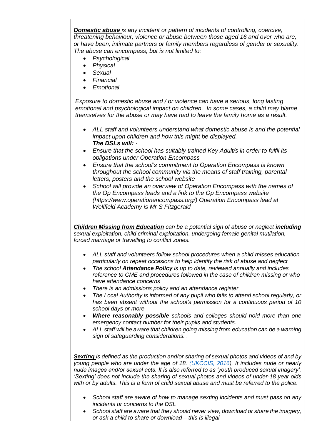*Domestic abuse is any incident or pattern of incidents of controlling, coercive, threatening behaviour, violence or abuse between those aged 16 and over who are, or have been, intimate partners or family members regardless of gender or sexuality. The abuse can encompass, but is not limited to:* 

- *Psychological*
- *Physical*
- *Sexual*
- *Financial*
- *Emotional*

*Exposure to domestic abuse and / or violence can have a serious, long lasting emotional and psychological impact on children. In some cases, a child may blame themselves for the abuse or may have had to leave the family home as a result.* 

- *ALL staff and volunteers understand what domestic abuse is and the potential impact upon children and how this might be displayed. The DSLs will: -*
- *Ensure that the school has suitably trained Key Adult/s in order to fulfil its obligations under Operation Encompass*
- *Ensure that the school's commitment to Operation Encompass is known throughout the school community via the means of staff training, parental letters, posters and the school website*
- *School will provide an overview of Operation Encompass with the names of the Op Encompass leads and a link to the Op Encompass website [\(https://www.operationencompass.org/\)](https://www.operationencompass.org/) Operation Encompass lead at Wellfield Academy is Mr S Fitzgerald*

*Children Missing from Education can be a potential sign of abuse or neglect including sexual exploitation, child criminal exploitation, undergoing female genital mutilation, forced marriage or travelling to conflict zones.* 

- *ALL staff and volunteers follow school procedures when a child misses education particularly on repeat occasions to help identify the risk of abuse and neglect*
- *The school Attendance Policy is up to date, reviewed annually and includes reference to CME and procedures followed in the case of children missing or who have attendance concerns*
- *There is an admissions policy and an attendance register*
- *The Local Authority is informed of any pupil who fails to attend school regularly, or has been absent without the school's permission for a continuous period of 10 school days or more*
- *Where reasonably possible schools and colleges should hold more than one emergency contact number for their pupils and students.*
- *ALL staff will be aware that children going missing from education can be a warning sign of safeguarding considerations. .*

*Sexting is defined as the production and/or sharing of sexual photos and videos of and by young people who are under the age of 18. [\(UKCCIS, 2016\)](https://www.gov.uk/government/publications/sexting-in-schools-and-colleges), It includes nude or nearly nude images and/or sexual acts. It is also referred to as 'youth produced sexual imagery'. 'Sexting' does not include the sharing of sexual photos and videos of under-18 year olds with or by adults. This is a form of child sexual abuse and must be referred to the police.*

- *School staff are aware of how to manage sexting incidents and must pass on any incidents or concerns to the DSL*
- *School staff are aware that they should never view, download or share the imagery, or ask a child to share or download – this is illegal*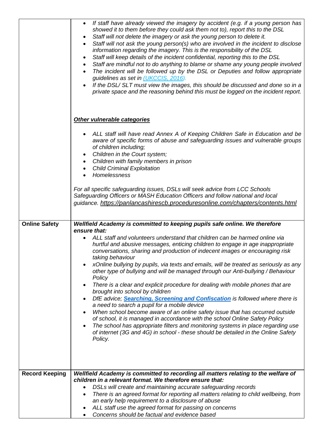|                       | If staff have already viewed the imagery by accident (e.g. if a young person has<br>$\bullet$<br>showed it to them before they could ask them not to), report this to the DSL<br>Staff will not delete the imagery or ask the young person to delete it.<br>Staff will not ask the young person(s) who are involved in the incident to disclose<br>٠<br>information regarding the imagery. This is the responsibility of the DSL<br>Staff will keep details of the incident confidential, reporting this to the DSL<br>$\bullet$<br>Staff are mindful not to do anything to blame or shame any young people involved<br>$\bullet$<br>The incident will be followed up by the DSL or Deputies and follow appropriate<br>guidelines as set in (UKCCIS, 2016).<br>If the DSL/SLT must view the images, this should be discussed and done so in a                                                                                                                                                                                                                         |
|-----------------------|-----------------------------------------------------------------------------------------------------------------------------------------------------------------------------------------------------------------------------------------------------------------------------------------------------------------------------------------------------------------------------------------------------------------------------------------------------------------------------------------------------------------------------------------------------------------------------------------------------------------------------------------------------------------------------------------------------------------------------------------------------------------------------------------------------------------------------------------------------------------------------------------------------------------------------------------------------------------------------------------------------------------------------------------------------------------------|
|                       | private space and the reasoning behind this must be logged on the incident report.<br>Other vulnerable categories                                                                                                                                                                                                                                                                                                                                                                                                                                                                                                                                                                                                                                                                                                                                                                                                                                                                                                                                                     |
|                       | ALL staff will have read Annex A of Keeping Children Safe in Education and be<br>aware of specific forms of abuse and safeguarding issues and vulnerable groups<br>of children including;<br>Children in the Court system;<br>٠<br>Children with family members in prison<br>$\bullet$<br><b>Child Criminal Exploitation</b><br>$\bullet$<br>Homelessness                                                                                                                                                                                                                                                                                                                                                                                                                                                                                                                                                                                                                                                                                                             |
|                       | For all specific safeguarding issues, DSLs will seek advice from LCC Schools<br>Safeguarding Officers or MASH Education Officers and follow national and local<br>guidance. https://panlancashirescb.proceduresonline.com/chapters/contents.html                                                                                                                                                                                                                                                                                                                                                                                                                                                                                                                                                                                                                                                                                                                                                                                                                      |
| <b>Online Safety</b>  | Wellfield Academy is committed to keeping pupils safe online. We therefore                                                                                                                                                                                                                                                                                                                                                                                                                                                                                                                                                                                                                                                                                                                                                                                                                                                                                                                                                                                            |
|                       | ensure that:<br>ALL staff and volunteers understand that children can be harmed online via<br>hurtful and abusive messages, enticing children to engage in age inappropriate<br>conversations, sharing and production of indecent images or encouraging risk<br>taking behaviour<br>xOnline bullying by pupils, via texts and emails, will be treated as seriously as any<br>other type of bullying and will be managed through our Anti-bullying / Behaviour<br>Policy<br>There is a clear and explicit procedure for dealing with mobile phones that are<br>brought into school by children<br>DfE advice; Searching, Screening and Confiscation is followed where there is<br>a need to search a pupil for a mobile device<br>When school become aware of an online safety issue that has occurred outside<br>of school, it is managed in accordance with the school Online Safety Policy<br>The school has appropriate filters and monitoring systems in place regarding use<br>of internet (3G and 4G) in school - these should be detailed in the Online Safety |
|                       | Policy.                                                                                                                                                                                                                                                                                                                                                                                                                                                                                                                                                                                                                                                                                                                                                                                                                                                                                                                                                                                                                                                               |
| <b>Record Keeping</b> | Wellfield Academy is committed to recording all matters relating to the welfare of<br>children in a relevant format. We therefore ensure that:<br>DSLs will create and maintaining accurate safeguarding records<br>$\bullet$<br>There is an agreed format for reporting all matters relating to child wellbeing, from<br>an early help requirement to a disclosure of abuse<br>ALL staff use the agreed format for passing on concerns<br>Concerns should be factual and evidence based                                                                                                                                                                                                                                                                                                                                                                                                                                                                                                                                                                              |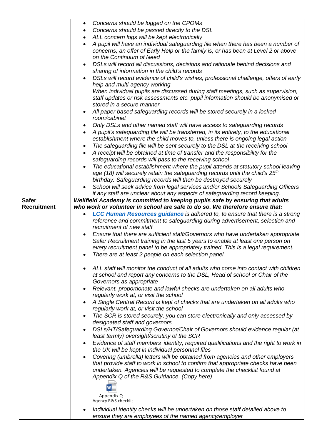|                    | Concerns should be logged on the CPOMs<br>$\bullet$                                                                                                                                                              |
|--------------------|------------------------------------------------------------------------------------------------------------------------------------------------------------------------------------------------------------------|
|                    | Concerns should be passed directly to the DSL<br>$\bullet$                                                                                                                                                       |
|                    | ALL concern logs will be kept electronically<br>$\bullet$                                                                                                                                                        |
|                    | A pupil will have an individual safeguarding file when there has been a number of<br>$\bullet$<br>concerns, an offer of Early Help or the family is, or has been at Level 2 or above<br>on the Continuum of Need |
|                    | DSLs will record all discussions, decisions and rationale behind decisions and                                                                                                                                   |
|                    | sharing of information in the child's records                                                                                                                                                                    |
|                    | DSLs will record evidence of child's wishes, professional challenge, offers of early                                                                                                                             |
|                    | help and multi-agency working                                                                                                                                                                                    |
|                    | When individual pupils are discussed during staff meetings, such as supervision,                                                                                                                                 |
|                    | staff updates or risk assessments etc. pupil information should be anonymised or                                                                                                                                 |
|                    | stored in a secure manner                                                                                                                                                                                        |
|                    | All paper based safeguarding records will be stored securely in a locked<br>room/cabinet                                                                                                                         |
|                    | Only DSLs and other named staff will have access to safeguarding records                                                                                                                                         |
|                    | A pupil's safeguarding file will be transferred, in its entirety, to the educational<br>$\bullet$                                                                                                                |
|                    | establishment where the child moves to, unless there is ongoing legal action                                                                                                                                     |
|                    | The safeguarding file will be sent securely to the DSL at the receiving school                                                                                                                                   |
|                    | A receipt will be obtained at time of transfer and the responsibility for the                                                                                                                                    |
|                    | safeguarding records will pass to the receiving school                                                                                                                                                           |
|                    | The educational establishment where the pupil attends at statutory school leaving<br>age (18) will securely retain the safeguarding records until the child's $25th$                                             |
|                    | birthday. Safeguarding records will then be destroyed securely                                                                                                                                                   |
|                    | School will seek advice from legal services and/or Schools Safeguarding Officers                                                                                                                                 |
|                    | if any staff are unclear about any aspects of safeguarding record keeping.                                                                                                                                       |
| <b>Safer</b>       | Wellfield Academy is committed to keeping pupils safe by ensuring that adults                                                                                                                                    |
| <b>Recruitment</b> | who work or volunteer in school are safe to do so. We therefore ensure that:                                                                                                                                     |
|                    | <b>LCC Human Resources guidance is adhered to, to ensure that there is a strong</b><br>reference and commitment to safeguarding during advertisement, selection and                                              |
|                    | recruitment of new staff                                                                                                                                                                                         |
|                    | Ensure that there are sufficient staff/Governors who have undertaken appropriate                                                                                                                                 |
|                    | Safer Recruitment training in the last 5 years to enable at least one person on                                                                                                                                  |
|                    | every recruitment panel to be appropriately trained. This is a legal requirement.                                                                                                                                |
|                    | There are at least 2 people on each selection panel.                                                                                                                                                             |
|                    | ALL staff will monitor the conduct of all adults who come into contact with children                                                                                                                             |
|                    | at school and report any concerns to the DSL, Head of school or Chair of the                                                                                                                                     |
|                    | Governors as appropriate                                                                                                                                                                                         |
|                    | Relevant, proportionate and lawful checks are undertaken on all adults who                                                                                                                                       |
|                    | regularly work at, or visit the school                                                                                                                                                                           |
|                    | A Single Central Record is kept of checks that are undertaken on all adults who<br>regularly work at, or visit the school                                                                                        |
|                    | The SCR is stored securely, you can store electronically and only accessed by                                                                                                                                    |
|                    | designated staff and governors                                                                                                                                                                                   |
|                    | DSLs/HT/Safeguarding Governor/Chair of Governors should evidence regular (at<br>٠                                                                                                                                |
|                    | least termly) oversight/scrutiny of the SCR                                                                                                                                                                      |
|                    | Evidence of staff members' identity, required qualifications and the right to work in                                                                                                                            |
|                    | the UK will be kept in individual personnel files<br>Covering (umbrella) letters will be obtained from agencies and other employers                                                                              |
|                    | that provide staff to work in school to confirm that appropriate checks have been                                                                                                                                |
|                    | undertaken. Agencies will be requested to complete the checklist found at                                                                                                                                        |
|                    | Appendix Q of the R&S Guidance. (Copy here)                                                                                                                                                                      |
|                    |                                                                                                                                                                                                                  |
|                    | Appendix Q -                                                                                                                                                                                                     |
|                    | Agency R&S checklis                                                                                                                                                                                              |
|                    | Individual identity checks will be undertaken on those staff detailed above to                                                                                                                                   |
|                    | ensure they are employees of the named agency/employer                                                                                                                                                           |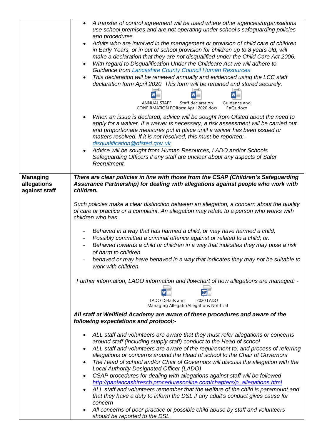|                                                 | A transfer of control agreement will be used where other agencies/organisations<br>$\bullet$<br>use school premises and are not operating under school's safeguarding policies<br>and procedures<br>Adults who are involved in the management or provision of child care of children<br>in Early Years, or in out of school provision for children up to 8 years old, will<br>make a declaration that they are not disqualified under the Child Care Act 2006.<br>With regard to Disqualification Under the Childcare Act we will adhere to<br>$\bullet$<br><b>Guidance from Lancashire County Council Human Resources</b><br>This declaration will be renewed annually and evidenced using the LCC staff<br>$\bullet$<br>declaration form April 2020. This form will be retained and stored securely.<br><b>ANNUAL STAFF</b><br>Staff declaration<br>Guidance and<br>CONFIRMATION FOlform April 2020.doc<br>FAQs.docx                    |
|-------------------------------------------------|-------------------------------------------------------------------------------------------------------------------------------------------------------------------------------------------------------------------------------------------------------------------------------------------------------------------------------------------------------------------------------------------------------------------------------------------------------------------------------------------------------------------------------------------------------------------------------------------------------------------------------------------------------------------------------------------------------------------------------------------------------------------------------------------------------------------------------------------------------------------------------------------------------------------------------------------|
|                                                 | When an issue is declared, advice will be sought from Ofsted about the need to<br>apply for a waiver. If a waiver is necessary, a risk assessment will be carried out<br>and proportionate measures put in place until a waiver has been issued or<br>matters resolved. If it is not resolved, this must be reported:-<br>disqualification@ofsted.gov.uk<br>Advice will be sought from Human Resources, LADO and/or Schools<br>Safeguarding Officers if any staff are unclear about any aspects of Safer<br>Recruitment.                                                                                                                                                                                                                                                                                                                                                                                                                  |
|                                                 |                                                                                                                                                                                                                                                                                                                                                                                                                                                                                                                                                                                                                                                                                                                                                                                                                                                                                                                                           |
| <b>Managing</b><br>allegations<br>against staff | There are clear policies in line with those from the CSAP (Children's Safeguarding<br>Assurance Partnership) for dealing with allegations against people who work with<br>children.                                                                                                                                                                                                                                                                                                                                                                                                                                                                                                                                                                                                                                                                                                                                                       |
|                                                 | Such policies make a clear distinction between an allegation, a concern about the quality<br>of care or practice or a complaint. An allegation may relate to a person who works with<br>children who has:                                                                                                                                                                                                                                                                                                                                                                                                                                                                                                                                                                                                                                                                                                                                 |
|                                                 | Behaved in a way that has harmed a child, or may have harmed a child;<br>Possibly committed a criminal offence against or related to a child; or.<br>Behaved towards a child or children in a way that indicates they may pose a risk<br>of harm to children.<br>behaved or may have behaved in a way that indicates they may not be suitable to<br>work with children.                                                                                                                                                                                                                                                                                                                                                                                                                                                                                                                                                                   |
|                                                 | Further information, LADO information and flowchart of how allegations are managed: -<br>2020 LADO<br>LADO Details and                                                                                                                                                                                                                                                                                                                                                                                                                                                                                                                                                                                                                                                                                                                                                                                                                    |
|                                                 | Managing Allegatio Allegations Notificat                                                                                                                                                                                                                                                                                                                                                                                                                                                                                                                                                                                                                                                                                                                                                                                                                                                                                                  |
|                                                 | All staff at Wellfield Academy are aware of these procedures and aware of the<br>following expectations and protocol:-                                                                                                                                                                                                                                                                                                                                                                                                                                                                                                                                                                                                                                                                                                                                                                                                                    |
|                                                 | ALL staff and volunteers are aware that they must refer allegations or concerns<br>around staff (including supply staff) conduct to the Head of school<br>ALL staff and volunteers are aware of the requirement to, and process of referring<br>allegations or concerns around the Head of school to the Chair of Governors<br>The Head of school and/or Chair of Governors will discuss the allegation with the<br>Local Authority Designated Officer (LADO)<br>CSAP procedures for dealing with allegations against staff will be followed<br>$\bullet$<br>http://panlancashirescb.proceduresonline.com/chapters/p_allegations.html<br>ALL staff and volunteers remember that the welfare of the child is paramount and<br>that they have a duty to inform the DSL if any adult's conduct gives cause for<br>concern<br>All concerns of poor practice or possible child abuse by staff and volunteers<br>should be reported to the DSL. |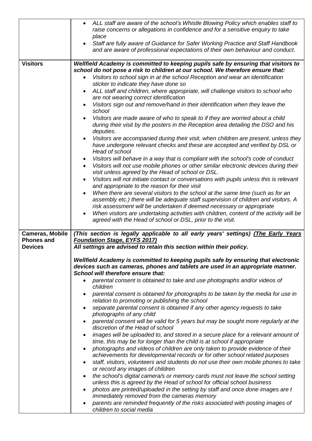|                                     | ALL staff are aware of the school's Whistle Blowing Policy which enables staff to<br>$\bullet$<br>raise concerns or allegations in confidence and for a sensitive enquiry to take<br>place<br>Staff are fully aware of Guidance for Safer Working Practice and Staff Handbook<br>and are aware of professional expectations of their own behaviour and conduct.                                                                                                                                                                                                                                                                                                                                                                                                                                                                                                                                                                                                                                                                                                                                                                                                                                                                                                                                                                                                                                                                                                                                                                                                                                                    |  |  |
|-------------------------------------|--------------------------------------------------------------------------------------------------------------------------------------------------------------------------------------------------------------------------------------------------------------------------------------------------------------------------------------------------------------------------------------------------------------------------------------------------------------------------------------------------------------------------------------------------------------------------------------------------------------------------------------------------------------------------------------------------------------------------------------------------------------------------------------------------------------------------------------------------------------------------------------------------------------------------------------------------------------------------------------------------------------------------------------------------------------------------------------------------------------------------------------------------------------------------------------------------------------------------------------------------------------------------------------------------------------------------------------------------------------------------------------------------------------------------------------------------------------------------------------------------------------------------------------------------------------------------------------------------------------------|--|--|
| <b>Visitors</b>                     | Wellfield Academy is committed to keeping pupils safe by ensuring that visitors to                                                                                                                                                                                                                                                                                                                                                                                                                                                                                                                                                                                                                                                                                                                                                                                                                                                                                                                                                                                                                                                                                                                                                                                                                                                                                                                                                                                                                                                                                                                                 |  |  |
|                                     | school do not pose a risk to children at our school. We therefore ensure that:<br>Visitors to school sign in at the school Reception and wear an identification<br>sticker to indicate they have done so<br>ALL staff and children, where appropriate, will challenge visitors to school who<br>are not wearing correct identification<br>Visitors sign out and remove/hand in their identification when they leave the<br>school<br>Visitors are made aware of who to speak to if they are worried about a child<br>during their visit by the posters in the Reception area detailing the DSO and his<br>deputies.<br>Visitors are accompanied during their visit, when children are present, unless they<br>have undergone relevant checks and these are accepted and verified by DSL or<br>Head of school<br>Visitors will behave in a way that is compliant with the school's code of conduct<br>$\bullet$<br>Visitors will not use mobile phones or other similar electronic devices during their<br>visit unless agreed by the Head of school or DSL.<br>Visitors will not initiate contact or conversations with pupils unless this is relevant<br>and appropriate to the reason for their visit<br>When there are several visitors to the school at the same time (such as for an<br>assembly etc.) there will be adequate staff supervision of children and visitors. A<br>risk assessment will be undertaken if deemed necessary or appropriate<br>When visitors are undertaking activities with children, content of the activity will be<br>agreed with the Head of school or DSL, prior to the visit. |  |  |
| <b>Cameras, Mobile</b>              | (This section is legally applicable to all early years' settings) (The Early Years                                                                                                                                                                                                                                                                                                                                                                                                                                                                                                                                                                                                                                                                                                                                                                                                                                                                                                                                                                                                                                                                                                                                                                                                                                                                                                                                                                                                                                                                                                                                 |  |  |
| <b>Phones and</b><br><b>Devices</b> | <b>Foundation Stage, EYFS 2017)</b><br>All settings are advised to retain this section within their policy.                                                                                                                                                                                                                                                                                                                                                                                                                                                                                                                                                                                                                                                                                                                                                                                                                                                                                                                                                                                                                                                                                                                                                                                                                                                                                                                                                                                                                                                                                                        |  |  |
|                                     | Wellfield Academy is committed to keeping pupils safe by ensuring that electronic<br>devices such as cameras, phones and tablets are used in an appropriate manner.<br>School will therefore ensure that:                                                                                                                                                                                                                                                                                                                                                                                                                                                                                                                                                                                                                                                                                                                                                                                                                                                                                                                                                                                                                                                                                                                                                                                                                                                                                                                                                                                                          |  |  |
|                                     | parental consent is obtained to take and use photographs and/or videos of<br>$\bullet$<br>children                                                                                                                                                                                                                                                                                                                                                                                                                                                                                                                                                                                                                                                                                                                                                                                                                                                                                                                                                                                                                                                                                                                                                                                                                                                                                                                                                                                                                                                                                                                 |  |  |
|                                     | parental consent is obtained for photographs to be taken by the media for use in<br>relation to promoting or publishing the school                                                                                                                                                                                                                                                                                                                                                                                                                                                                                                                                                                                                                                                                                                                                                                                                                                                                                                                                                                                                                                                                                                                                                                                                                                                                                                                                                                                                                                                                                 |  |  |
|                                     | separate parental consent is obtained if any other agency requests to take<br>photographs of any child                                                                                                                                                                                                                                                                                                                                                                                                                                                                                                                                                                                                                                                                                                                                                                                                                                                                                                                                                                                                                                                                                                                                                                                                                                                                                                                                                                                                                                                                                                             |  |  |
|                                     | parental consent will be valid for 5 years but may be sought more regularly at the<br>discretion of the Head of school                                                                                                                                                                                                                                                                                                                                                                                                                                                                                                                                                                                                                                                                                                                                                                                                                                                                                                                                                                                                                                                                                                                                                                                                                                                                                                                                                                                                                                                                                             |  |  |
|                                     | images will be uploaded to, and stored in a secure place for a relevant amount of<br>time, this may be for longer than the child is at school if appropriate                                                                                                                                                                                                                                                                                                                                                                                                                                                                                                                                                                                                                                                                                                                                                                                                                                                                                                                                                                                                                                                                                                                                                                                                                                                                                                                                                                                                                                                       |  |  |
|                                     | photographs and videos of children are only taken to provide evidence of their<br>achievements for developmental records or for other school related purposes                                                                                                                                                                                                                                                                                                                                                                                                                                                                                                                                                                                                                                                                                                                                                                                                                                                                                                                                                                                                                                                                                                                                                                                                                                                                                                                                                                                                                                                      |  |  |
|                                     | staff, visitors, volunteers and students do not use their own mobile phones to take<br>or record any images of children                                                                                                                                                                                                                                                                                                                                                                                                                                                                                                                                                                                                                                                                                                                                                                                                                                                                                                                                                                                                                                                                                                                                                                                                                                                                                                                                                                                                                                                                                            |  |  |
|                                     | the school's digital camera/s or memory cards must not leave the school setting<br>unless this is agreed by the Head of school for official school business                                                                                                                                                                                                                                                                                                                                                                                                                                                                                                                                                                                                                                                                                                                                                                                                                                                                                                                                                                                                                                                                                                                                                                                                                                                                                                                                                                                                                                                        |  |  |
|                                     | photos are printed/uploaded in the setting by staff and once done images are t<br>immediately removed from the cameras memory                                                                                                                                                                                                                                                                                                                                                                                                                                                                                                                                                                                                                                                                                                                                                                                                                                                                                                                                                                                                                                                                                                                                                                                                                                                                                                                                                                                                                                                                                      |  |  |
|                                     | parents are reminded frequently of the risks associated with posting images of<br>children to social media                                                                                                                                                                                                                                                                                                                                                                                                                                                                                                                                                                                                                                                                                                                                                                                                                                                                                                                                                                                                                                                                                                                                                                                                                                                                                                                                                                                                                                                                                                         |  |  |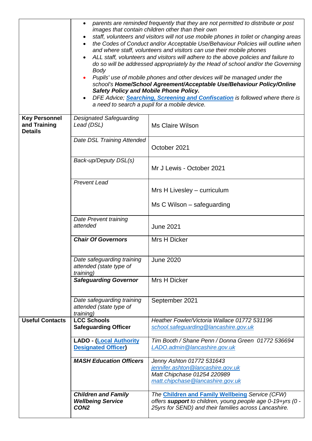|                                                        | parents are reminded frequently that they are not permitted to distribute or post<br>images that contain children other than their own<br>staff, volunteers and visitors will not use mobile phones in toilet or changing areas<br>the Codes of Conduct and/or Acceptable Use/Behaviour Policies will outline when<br>and where staff, volunteers and visitors can use their mobile phones<br>ALL staff, volunteers and visitors will adhere to the above policies and failure to<br>do so will be addressed appropriately by the Head of school and/or the Governing<br><b>Body</b><br>Pupils' use of mobile phones and other devices will be managed under the<br>school's Home/School Agreement/Acceptable Use/Behaviour Policy/Online<br><b>Safety Policy and Mobile Phone Policy.</b><br>DFE Advice; Searching, Screening and Confiscation is followed where there is<br>a need to search a pupil for a mobile device. |                                                                                                                                                                        |  |
|--------------------------------------------------------|-----------------------------------------------------------------------------------------------------------------------------------------------------------------------------------------------------------------------------------------------------------------------------------------------------------------------------------------------------------------------------------------------------------------------------------------------------------------------------------------------------------------------------------------------------------------------------------------------------------------------------------------------------------------------------------------------------------------------------------------------------------------------------------------------------------------------------------------------------------------------------------------------------------------------------|------------------------------------------------------------------------------------------------------------------------------------------------------------------------|--|
| <b>Key Personnel</b><br>and Training<br><b>Details</b> | <b>Designated Safeguarding</b><br>Lead (DSL)                                                                                                                                                                                                                                                                                                                                                                                                                                                                                                                                                                                                                                                                                                                                                                                                                                                                                | <b>Ms Claire Wilson</b>                                                                                                                                                |  |
|                                                        | Date DSL Training Attended                                                                                                                                                                                                                                                                                                                                                                                                                                                                                                                                                                                                                                                                                                                                                                                                                                                                                                  | October 2021                                                                                                                                                           |  |
|                                                        | Back-up/Deputy DSL(s)                                                                                                                                                                                                                                                                                                                                                                                                                                                                                                                                                                                                                                                                                                                                                                                                                                                                                                       | Mr J Lewis - October 2021                                                                                                                                              |  |
|                                                        | <b>Prevent Lead</b>                                                                                                                                                                                                                                                                                                                                                                                                                                                                                                                                                                                                                                                                                                                                                                                                                                                                                                         | Mrs H Livesley - curriculum                                                                                                                                            |  |
|                                                        |                                                                                                                                                                                                                                                                                                                                                                                                                                                                                                                                                                                                                                                                                                                                                                                                                                                                                                                             | Ms C Wilson – safeguarding                                                                                                                                             |  |
|                                                        | Date Prevent training<br>attended                                                                                                                                                                                                                                                                                                                                                                                                                                                                                                                                                                                                                                                                                                                                                                                                                                                                                           | <b>June 2021</b>                                                                                                                                                       |  |
|                                                        | <b>Chair Of Governors</b>                                                                                                                                                                                                                                                                                                                                                                                                                                                                                                                                                                                                                                                                                                                                                                                                                                                                                                   | Mrs H Dicker                                                                                                                                                           |  |
|                                                        | Date safeguarding training<br>attended (state type of<br>training)                                                                                                                                                                                                                                                                                                                                                                                                                                                                                                                                                                                                                                                                                                                                                                                                                                                          | <b>June 2020</b>                                                                                                                                                       |  |
|                                                        | <b>Safeguarding Governor</b>                                                                                                                                                                                                                                                                                                                                                                                                                                                                                                                                                                                                                                                                                                                                                                                                                                                                                                | Mrs H Dicker                                                                                                                                                           |  |
|                                                        | Date safeguarding training<br>attended (state type of<br><i>training</i> )                                                                                                                                                                                                                                                                                                                                                                                                                                                                                                                                                                                                                                                                                                                                                                                                                                                  | September 2021                                                                                                                                                         |  |
| <b>Useful Contacts</b>                                 | <b>LCC Schools</b><br><b>Safeguarding Officer</b>                                                                                                                                                                                                                                                                                                                                                                                                                                                                                                                                                                                                                                                                                                                                                                                                                                                                           | Heather Fowler/Victoria Wallace 01772 531196<br>school.safeguarding@lancashire.gov.uk                                                                                  |  |
|                                                        | <b>LADO - (Local Authority</b><br><b>Designated Officer</b>                                                                                                                                                                                                                                                                                                                                                                                                                                                                                                                                                                                                                                                                                                                                                                                                                                                                 | Tim Booth / Shane Penn / Donna Green 01772 536694<br>LADO.admin@lancashire.gov.uk                                                                                      |  |
|                                                        | <b>MASH Education Officers</b>                                                                                                                                                                                                                                                                                                                                                                                                                                                                                                                                                                                                                                                                                                                                                                                                                                                                                              | Jenny Ashton 01772 531643<br>jennifer.ashton@lancashire.gov.uk<br>Matt Chipchase 01254 220989<br>matt.chipchase@lancashire.gov.uk                                      |  |
|                                                        | <b>Children and Family</b><br><b>Wellbeing Service</b><br>CON <sub>2</sub>                                                                                                                                                                                                                                                                                                                                                                                                                                                                                                                                                                                                                                                                                                                                                                                                                                                  | The Children and Family Wellbeing Service (CFW)<br>offers support to children, young people age 0-19+yrs (0 -<br>25yrs for SEND) and their families across Lancashire. |  |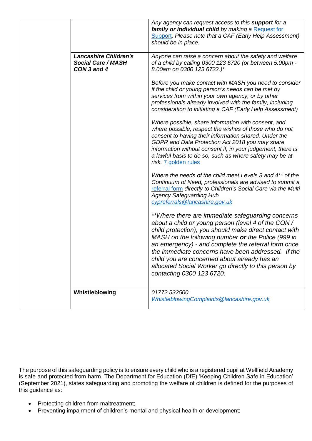|                                                                          | Any agency can request access to this support for a<br>family or individual child by making a Request for<br>Support. Please note that a CAF (Early Help Assessment)<br>should be in place.                                                                                                                                                                                                                                                                                |
|--------------------------------------------------------------------------|----------------------------------------------------------------------------------------------------------------------------------------------------------------------------------------------------------------------------------------------------------------------------------------------------------------------------------------------------------------------------------------------------------------------------------------------------------------------------|
| <b>Lancashire Children's</b><br><b>Social Care / MASH</b><br>CON 3 and 4 | Anyone can raise a concern about the safety and welfare<br>of a child by calling 0300 123 6720 (or between 5.00pm -<br>8.00am on 0300 123 6722.)*                                                                                                                                                                                                                                                                                                                          |
|                                                                          | Before you make contact with MASH you need to consider<br>if the child or young person's needs can be met by<br>services from within your own agency, or by other<br>professionals already involved with the family, including<br>consideration to initiating a CAF (Early Help Assessment)                                                                                                                                                                                |
|                                                                          | Where possible, share information with consent, and<br>where possible, respect the wishes of those who do not<br>consent to having their information shared. Under the<br>GDPR and Data Protection Act 2018 you may share<br>information without consent if, in your judgement, there is<br>a lawful basis to do so, such as where safety may be at<br>risk. 7 golden rules                                                                                                |
|                                                                          | Where the needs of the child meet Levels 3 and 4 <sup>**</sup> of the<br>Continuum of Need, professionals are advised to submit a<br>referral form directly to Children's Social Care via the Multi<br><b>Agency Safeguarding Hub</b><br>cypreferrals@lancashire.gov.uk                                                                                                                                                                                                    |
|                                                                          | **Where there are immediate safeguarding concerns<br>about a child or young person (level 4 of the CON/<br>child protection), you should make direct contact with<br>MASH on the following number or the Police (999 in<br>an emergency) - and complete the referral form once<br>the immediate concerns have been addressed. If the<br>child you are concerned about already has an<br>allocated Social Worker go directly to this person by<br>contacting 0300 123 6720: |
| Whistleblowing                                                           | 01772 532500<br>WhistleblowingComplaints@lancashire.gov.uk                                                                                                                                                                                                                                                                                                                                                                                                                 |

The purpose of this safeguarding policy is to ensure every child who is a registered pupil at Wellfield Academy is safe and protected from harm. The Department for Education (DfE) 'Keeping Children Safe in Education' (September 2021), states safeguarding and promoting the welfare of children is defined for the purposes of this guidance as:

- Protecting children from maltreatment;
- Preventing impairment of children's mental and physical health or development;